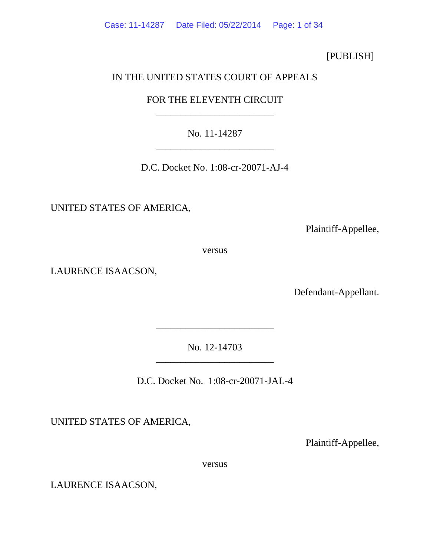Case: 11-14287 Date Filed: 05/22/2014 Page: 1 of 34

[PUBLISH]

# IN THE UNITED STATES COURT OF APPEALS

FOR THE ELEVENTH CIRCUIT \_\_\_\_\_\_\_\_\_\_\_\_\_\_\_\_\_\_\_\_\_\_\_\_

No. 11-14287 \_\_\_\_\_\_\_\_\_\_\_\_\_\_\_\_\_\_\_\_\_\_\_\_

D.C. Docket No. 1:08-cr-20071-AJ-4

UNITED STATES OF AMERICA,

Plaintiff-Appellee,

versus

LAURENCE ISAACSON,

Defendant-Appellant.

No. 12-14703 \_\_\_\_\_\_\_\_\_\_\_\_\_\_\_\_\_\_\_\_\_\_\_\_

\_\_\_\_\_\_\_\_\_\_\_\_\_\_\_\_\_\_\_\_\_\_\_\_

D.C. Docket No. 1:08-cr-20071-JAL-4

UNITED STATES OF AMERICA,

Plaintiff-Appellee,

versus

LAURENCE ISAACSON,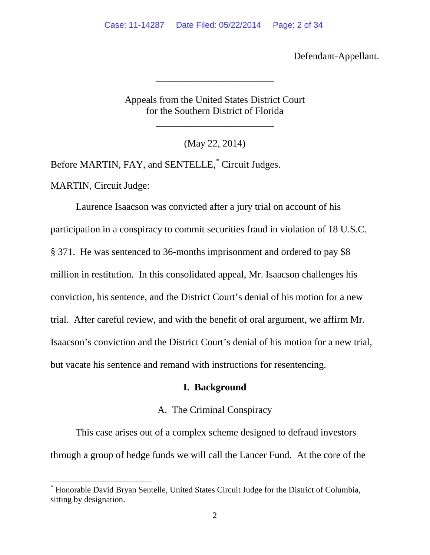Defendant-Appellant.

Appeals from the United States District Court for the Southern District of Florida

\_\_\_\_\_\_\_\_\_\_\_\_\_\_\_\_\_\_\_\_\_\_\_\_

\_\_\_\_\_\_\_\_\_\_\_\_\_\_\_\_\_\_\_\_\_\_\_\_

(May 22, 2014)

Before MARTIN, FAY, and SENTELLE, [\\*](#page-1-0) Circuit Judges. MARTIN, Circuit Judge:

Laurence Isaacson was convicted after a jury trial on account of his participation in a conspiracy to commit securities fraud in violation of 18 U.S.C. § 371. He was sentenced to 36-months imprisonment and ordered to pay \$8 million in restitution. In this consolidated appeal, Mr. Isaacson challenges his conviction, his sentence, and the District Court's denial of his motion for a new trial. After careful review, and with the benefit of oral argument, we affirm Mr. Isaacson's conviction and the District Court's denial of his motion for a new trial, but vacate his sentence and remand with instructions for resentencing.

# **I. Background**

# A. The Criminal Conspiracy

This case arises out of a complex scheme designed to defraud investors through a group of hedge funds we will call the Lancer Fund. At the core of the

<span id="page-1-0"></span> <sup>\*</sup> Honorable David Bryan Sentelle, United States Circuit Judge for the District of Columbia, sitting by designation.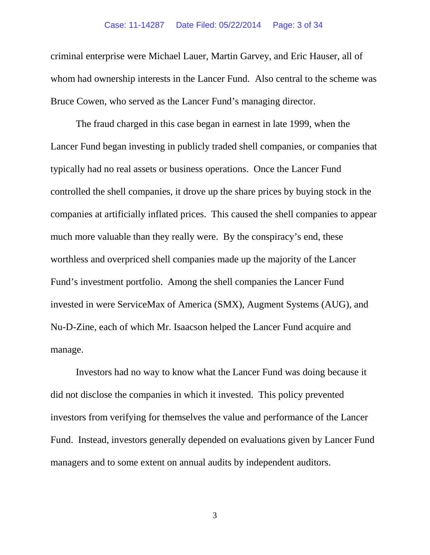#### Case: 11-14287 Date Filed: 05/22/2014 Page: 3 of 34

criminal enterprise were Michael Lauer, Martin Garvey, and Eric Hauser, all of whom had ownership interests in the Lancer Fund. Also central to the scheme was Bruce Cowen, who served as the Lancer Fund's managing director.

The fraud charged in this case began in earnest in late 1999, when the Lancer Fund began investing in publicly traded shell companies, or companies that typically had no real assets or business operations. Once the Lancer Fund controlled the shell companies, it drove up the share prices by buying stock in the companies at artificially inflated prices. This caused the shell companies to appear much more valuable than they really were. By the conspiracy's end, these worthless and overpriced shell companies made up the majority of the Lancer Fund's investment portfolio. Among the shell companies the Lancer Fund invested in were ServiceMax of America (SMX), Augment Systems (AUG), and Nu-D-Zine, each of which Mr. Isaacson helped the Lancer Fund acquire and manage.

Investors had no way to know what the Lancer Fund was doing because it did not disclose the companies in which it invested. This policy prevented investors from verifying for themselves the value and performance of the Lancer Fund. Instead, investors generally depended on evaluations given by Lancer Fund managers and to some extent on annual audits by independent auditors.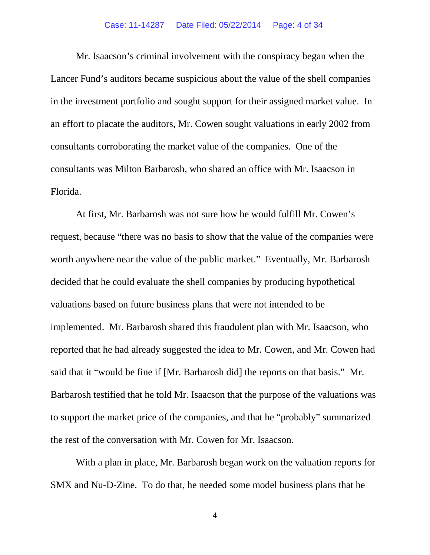#### Case: 11-14287 Date Filed: 05/22/2014 Page: 4 of 34

Mr. Isaacson's criminal involvement with the conspiracy began when the Lancer Fund's auditors became suspicious about the value of the shell companies in the investment portfolio and sought support for their assigned market value. In an effort to placate the auditors, Mr. Cowen sought valuations in early 2002 from consultants corroborating the market value of the companies. One of the consultants was Milton Barbarosh, who shared an office with Mr. Isaacson in Florida.

At first, Mr. Barbarosh was not sure how he would fulfill Mr. Cowen's request, because "there was no basis to show that the value of the companies were worth anywhere near the value of the public market." Eventually, Mr. Barbarosh decided that he could evaluate the shell companies by producing hypothetical valuations based on future business plans that were not intended to be implemented. Mr. Barbarosh shared this fraudulent plan with Mr. Isaacson, who reported that he had already suggested the idea to Mr. Cowen, and Mr. Cowen had said that it "would be fine if [Mr. Barbarosh did] the reports on that basis." Mr. Barbarosh testified that he told Mr. Isaacson that the purpose of the valuations was to support the market price of the companies, and that he "probably" summarized the rest of the conversation with Mr. Cowen for Mr. Isaacson.

With a plan in place, Mr. Barbarosh began work on the valuation reports for SMX and Nu-D-Zine. To do that, he needed some model business plans that he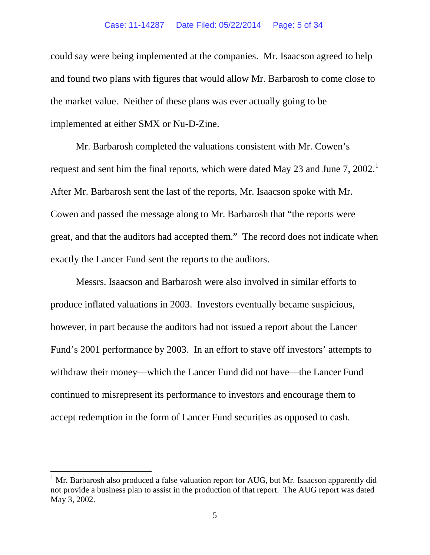#### Case: 11-14287 Date Filed: 05/22/2014 Page: 5 of 34

could say were being implemented at the companies. Mr. Isaacson agreed to help and found two plans with figures that would allow Mr. Barbarosh to come close to the market value. Neither of these plans was ever actually going to be implemented at either SMX or Nu-D-Zine.

Mr. Barbarosh completed the valuations consistent with Mr. Cowen's request and sent him the final reports, which were dated May 23 and June 7, 2002.<sup>[1](#page-4-0)</sup> After Mr. Barbarosh sent the last of the reports, Mr. Isaacson spoke with Mr. Cowen and passed the message along to Mr. Barbarosh that "the reports were great, and that the auditors had accepted them." The record does not indicate when exactly the Lancer Fund sent the reports to the auditors.

Messrs. Isaacson and Barbarosh were also involved in similar efforts to produce inflated valuations in 2003. Investors eventually became suspicious, however, in part because the auditors had not issued a report about the Lancer Fund's 2001 performance by 2003. In an effort to stave off investors' attempts to withdraw their money—which the Lancer Fund did not have—the Lancer Fund continued to misrepresent its performance to investors and encourage them to accept redemption in the form of Lancer Fund securities as opposed to cash.

<span id="page-4-0"></span><sup>&</sup>lt;sup>1</sup> Mr. Barbarosh also produced a false valuation report for AUG, but Mr. Isaacson apparently did not provide a business plan to assist in the production of that report. The AUG report was dated May 3, 2002.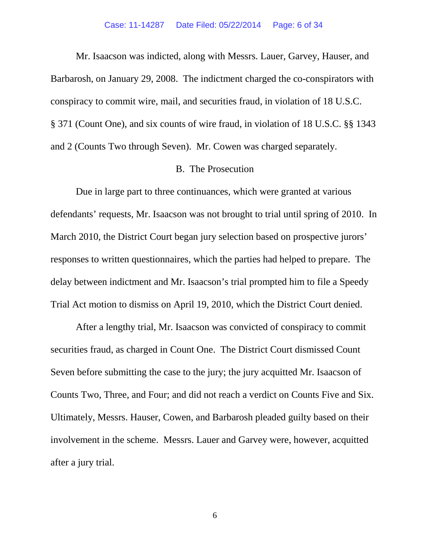Mr. Isaacson was indicted, along with Messrs. Lauer, Garvey, Hauser, and Barbarosh, on January 29, 2008. The indictment charged the co-conspirators with conspiracy to commit wire, mail, and securities fraud, in violation of 18 U.S.C. § 371 (Count One), and six counts of wire fraud, in violation of 18 U.S.C. §§ 1343 and 2 (Counts Two through Seven). Mr. Cowen was charged separately.

### B. The Prosecution

Due in large part to three continuances, which were granted at various defendants' requests, Mr. Isaacson was not brought to trial until spring of 2010. In March 2010, the District Court began jury selection based on prospective jurors' responses to written questionnaires, which the parties had helped to prepare. The delay between indictment and Mr. Isaacson's trial prompted him to file a Speedy Trial Act motion to dismiss on April 19, 2010, which the District Court denied.

After a lengthy trial, Mr. Isaacson was convicted of conspiracy to commit securities fraud, as charged in Count One. The District Court dismissed Count Seven before submitting the case to the jury; the jury acquitted Mr. Isaacson of Counts Two, Three, and Four; and did not reach a verdict on Counts Five and Six. Ultimately, Messrs. Hauser, Cowen, and Barbarosh pleaded guilty based on their involvement in the scheme. Messrs. Lauer and Garvey were, however, acquitted after a jury trial.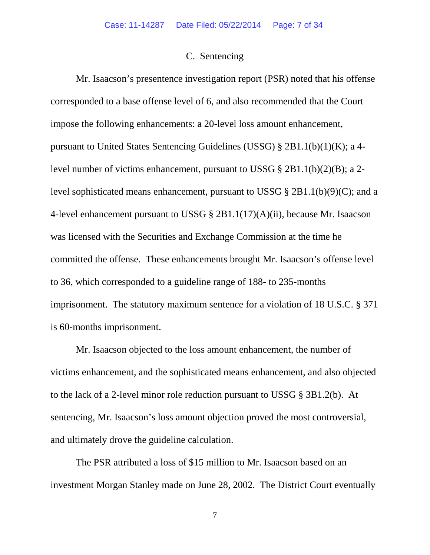#### C. Sentencing

Mr. Isaacson's presentence investigation report (PSR) noted that his offense corresponded to a base offense level of 6, and also recommended that the Court impose the following enhancements: a 20-level loss amount enhancement, pursuant to United States Sentencing Guidelines (USSG) § 2B1.1(b)(1)(K); a 4 level number of victims enhancement, pursuant to USSG § 2B1.1(b)(2)(B); a 2 level sophisticated means enhancement, pursuant to USSG § 2B1.1(b)(9)(C); and a 4-level enhancement pursuant to USSG § 2B1.1(17)(A)(ii), because Mr. Isaacson was licensed with the Securities and Exchange Commission at the time he committed the offense. These enhancements brought Mr. Isaacson's offense level to 36, which corresponded to a guideline range of 188- to 235-months imprisonment. The statutory maximum sentence for a violation of 18 U.S.C. § 371 is 60-months imprisonment.

Mr. Isaacson objected to the loss amount enhancement, the number of victims enhancement, and the sophisticated means enhancement, and also objected to the lack of a 2-level minor role reduction pursuant to USSG § 3B1.2(b). At sentencing, Mr. Isaacson's loss amount objection proved the most controversial, and ultimately drove the guideline calculation.

The PSR attributed a loss of \$15 million to Mr. Isaacson based on an investment Morgan Stanley made on June 28, 2002. The District Court eventually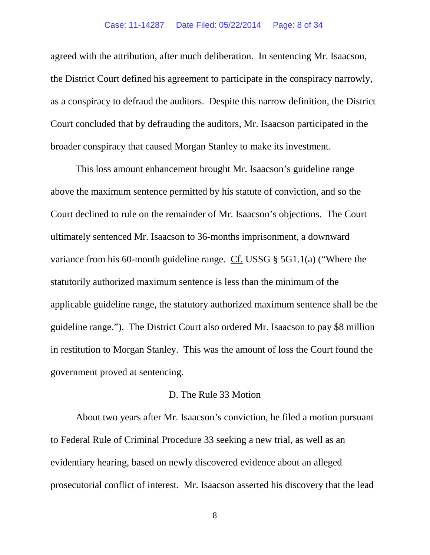#### Case: 11-14287 Date Filed: 05/22/2014 Page: 8 of 34

agreed with the attribution, after much deliberation. In sentencing Mr. Isaacson, the District Court defined his agreement to participate in the conspiracy narrowly, as a conspiracy to defraud the auditors. Despite this narrow definition, the District Court concluded that by defrauding the auditors, Mr. Isaacson participated in the broader conspiracy that caused Morgan Stanley to make its investment.

This loss amount enhancement brought Mr. Isaacson's guideline range above the maximum sentence permitted by his statute of conviction, and so the Court declined to rule on the remainder of Mr. Isaacson's objections. The Court ultimately sentenced Mr. Isaacson to 36-months imprisonment, a downward variance from his 60-month guideline range. Cf. USSG § 5G1.1(a) ("Where the statutorily authorized maximum sentence is less than the minimum of the applicable guideline range, the statutory authorized maximum sentence shall be the guideline range."). The District Court also ordered Mr. Isaacson to pay \$8 million in restitution to Morgan Stanley. This was the amount of loss the Court found the government proved at sentencing.

#### D. The Rule 33 Motion

About two years after Mr. Isaacson's conviction, he filed a motion pursuant to Federal Rule of Criminal Procedure 33 seeking a new trial, as well as an evidentiary hearing, based on newly discovered evidence about an alleged prosecutorial conflict of interest. Mr. Isaacson asserted his discovery that the lead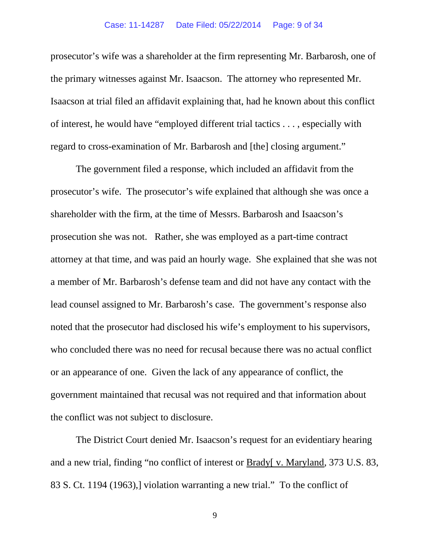prosecutor's wife was a shareholder at the firm representing Mr. Barbarosh, one of the primary witnesses against Mr. Isaacson. The attorney who represented Mr. Isaacson at trial filed an affidavit explaining that, had he known about this conflict of interest, he would have "employed different trial tactics . . . , especially with regard to cross-examination of Mr. Barbarosh and [the] closing argument."

The government filed a response, which included an affidavit from the prosecutor's wife. The prosecutor's wife explained that although she was once a shareholder with the firm, at the time of Messrs. Barbarosh and Isaacson's prosecution she was not. Rather, she was employed as a part-time contract attorney at that time, and was paid an hourly wage. She explained that she was not a member of Mr. Barbarosh's defense team and did not have any contact with the lead counsel assigned to Mr. Barbarosh's case. The government's response also noted that the prosecutor had disclosed his wife's employment to his supervisors, who concluded there was no need for recusal because there was no actual conflict or an appearance of one. Given the lack of any appearance of conflict, the government maintained that recusal was not required and that information about the conflict was not subject to disclosure.

The District Court denied Mr. Isaacson's request for an evidentiary hearing and a new trial, finding "no conflict of interest or Brady[ v. Maryland, 373 U.S. 83, 83 S. Ct. 1194 (1963),] violation warranting a new trial." To the conflict of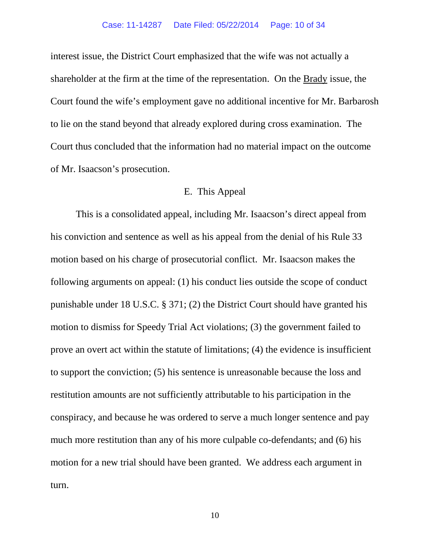interest issue, the District Court emphasized that the wife was not actually a shareholder at the firm at the time of the representation. On the Brady issue, the Court found the wife's employment gave no additional incentive for Mr. Barbarosh to lie on the stand beyond that already explored during cross examination. The Court thus concluded that the information had no material impact on the outcome of Mr. Isaacson's prosecution.

## E. This Appeal

This is a consolidated appeal, including Mr. Isaacson's direct appeal from his conviction and sentence as well as his appeal from the denial of his Rule 33 motion based on his charge of prosecutorial conflict. Mr. Isaacson makes the following arguments on appeal: (1) his conduct lies outside the scope of conduct punishable under 18 U.S.C. § 371; (2) the District Court should have granted his motion to dismiss for Speedy Trial Act violations; (3) the government failed to prove an overt act within the statute of limitations; (4) the evidence is insufficient to support the conviction; (5) his sentence is unreasonable because the loss and restitution amounts are not sufficiently attributable to his participation in the conspiracy, and because he was ordered to serve a much longer sentence and pay much more restitution than any of his more culpable co-defendants; and (6) his motion for a new trial should have been granted. We address each argument in turn.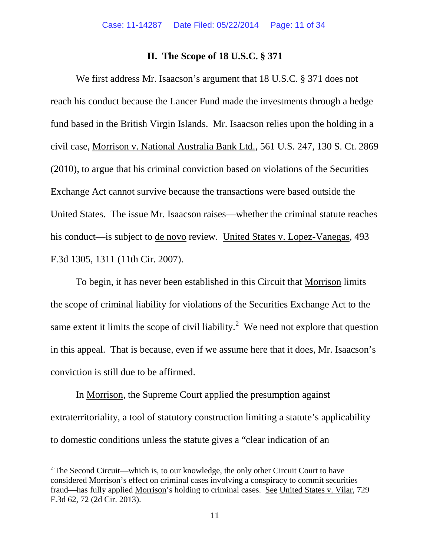#### **II. The Scope of 18 U.S.C. § 371**

We first address Mr. Isaacson's argument that 18 U.S.C. § 371 does not reach his conduct because the Lancer Fund made the investments through a hedge fund based in the British Virgin Islands. Mr. Isaacson relies upon the holding in a civil case, Morrison v. National Australia Bank Ltd., 561 U.S. 247, 130 S. Ct. 2869 (2010), to argue that his criminal conviction based on violations of the Securities Exchange Act cannot survive because the transactions were based outside the United States. The issue Mr. Isaacson raises—whether the criminal statute reaches his conduct—is subject to de novo review. United States v. Lopez-Vanegas, 493 F.3d 1305, 1311 (11th Cir. 2007).

To begin, it has never been established in this Circuit that Morrison limits the scope of criminal liability for violations of the Securities Exchange Act to the same extent it limits the scope of civil liability.<sup>[2](#page-10-0)</sup> We need not explore that question in this appeal. That is because, even if we assume here that it does, Mr. Isaacson's conviction is still due to be affirmed.

In Morrison, the Supreme Court applied the presumption against extraterritoriality, a tool of statutory construction limiting a statute's applicability to domestic conditions unless the statute gives a "clear indication of an

<span id="page-10-0"></span><sup>&</sup>lt;sup>2</sup> The Second Circuit—which is, to our knowledge, the only other Circuit Court to have considered Morrison's effect on criminal cases involving a conspiracy to commit securities fraud—has fully applied Morrison's holding to criminal cases. See United States v. Vilar, 729 F.3d 62, 72 (2d Cir. 2013).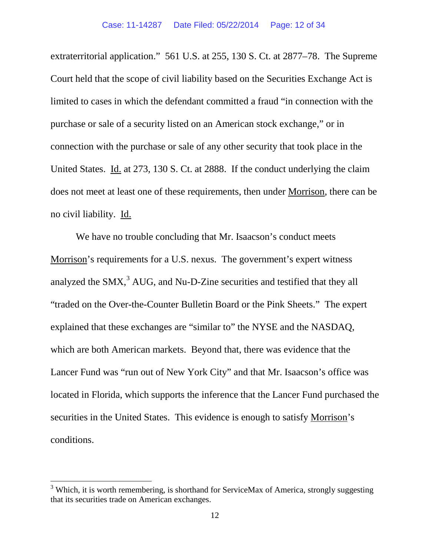extraterritorial application." 561 U.S. at 255, 130 S. Ct. at 2877–78. The Supreme Court held that the scope of civil liability based on the Securities Exchange Act is limited to cases in which the defendant committed a fraud "in connection with the purchase or sale of a security listed on an American stock exchange," or in connection with the purchase or sale of any other security that took place in the United States. Id. at 273, 130 S. Ct. at 2888. If the conduct underlying the claim does not meet at least one of these requirements, then under Morrison, there can be no civil liability. Id.

We have no trouble concluding that Mr. Isaacson's conduct meets Morrison's requirements for a U.S. nexus. The government's expert witness analyzed the  $S$ MX, $3$  AUG, and Nu-D-Zine securities and testified that they all "traded on the Over-the-Counter Bulletin Board or the Pink Sheets." The expert explained that these exchanges are "similar to" the NYSE and the NASDAQ, which are both American markets. Beyond that, there was evidence that the Lancer Fund was "run out of New York City" and that Mr. Isaacson's office was located in Florida, which supports the inference that the Lancer Fund purchased the securities in the United States. This evidence is enough to satisfy Morrison's conditions.

<span id="page-11-0"></span> $3$  Which, it is worth remembering, is shorthand for ServiceMax of America, strongly suggesting that its securities trade on American exchanges.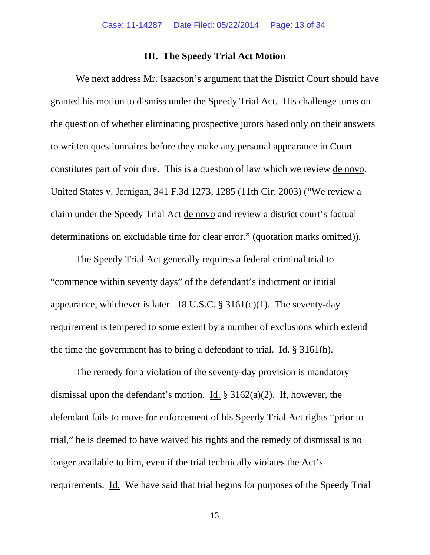## **III. The Speedy Trial Act Motion**

We next address Mr. Isaacson's argument that the District Court should have granted his motion to dismiss under the Speedy Trial Act. His challenge turns on the question of whether eliminating prospective jurors based only on their answers to written questionnaires before they make any personal appearance in Court constitutes part of voir dire. This is a question of law which we review de novo. United States v. Jernigan, 341 F.3d 1273, 1285 (11th Cir. 2003) ("We review a claim under the Speedy Trial Act de novo and review a district court's factual determinations on excludable time for clear error." (quotation marks omitted)).

The Speedy Trial Act generally requires a federal criminal trial to "commence within seventy days" of the defendant's indictment or initial appearance, whichever is later. 18 U.S.C.  $\S$  3161(c)(1). The seventy-day requirement is tempered to some extent by a number of exclusions which extend the time the government has to bring a defendant to trial. Id. § 3161(h).

The remedy for a violation of the seventy-day provision is mandatory dismissal upon the defendant's motion. Id.  $\S 3162(a)(2)$ . If, however, the defendant fails to move for enforcement of his Speedy Trial Act rights "prior to trial," he is deemed to have waived his rights and the remedy of dismissal is no longer available to him, even if the trial technically violates the Act's requirements. Id. We have said that trial begins for purposes of the Speedy Trial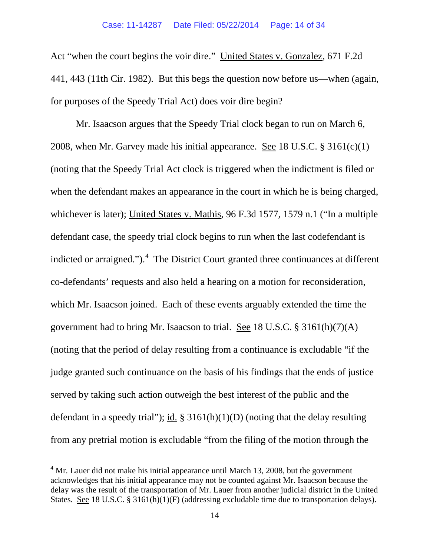Act "when the court begins the voir dire." United States v. Gonzalez, 671 F.2d 441, 443 (11th Cir. 1982). But this begs the question now before us—when (again, for purposes of the Speedy Trial Act) does voir dire begin?

Mr. Isaacson argues that the Speedy Trial clock began to run on March 6, 2008, when Mr. Garvey made his initial appearance. See 18 U.S.C.  $\S 3161(c)(1)$ (noting that the Speedy Trial Act clock is triggered when the indictment is filed or when the defendant makes an appearance in the court in which he is being charged, whichever is later); United States v. Mathis, 96 F.3d 1577, 1579 n.1 ("In a multiple defendant case, the speedy trial clock begins to run when the last codefendant is indicted or arraigned."). $4$  The District Court granted three continuances at different co-defendants' requests and also held a hearing on a motion for reconsideration, which Mr. Isaacson joined. Each of these events arguably extended the time the government had to bring Mr. Isaacson to trial. See 18 U.S.C. § 3161(h)(7)(A) (noting that the period of delay resulting from a continuance is excludable "if the judge granted such continuance on the basis of his findings that the ends of justice served by taking such action outweigh the best interest of the public and the defendant in a speedy trial"); id.  $\S 3161(h)(1)(D)$  (noting that the delay resulting from any pretrial motion is excludable "from the filing of the motion through the

<span id="page-13-0"></span> $<sup>4</sup>$  Mr. Lauer did not make his initial appearance until March 13, 2008, but the government</sup> acknowledges that his initial appearance may not be counted against Mr. Isaacson because the delay was the result of the transportation of Mr. Lauer from another judicial district in the United States. See 18 U.S.C. § 3161(h)(1)(F) (addressing excludable time due to transportation delays).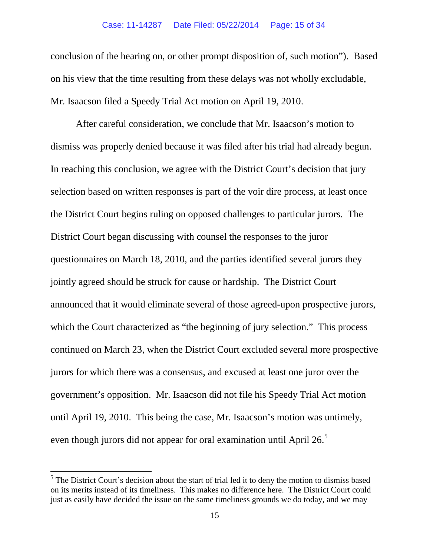conclusion of the hearing on, or other prompt disposition of, such motion"). Based on his view that the time resulting from these delays was not wholly excludable, Mr. Isaacson filed a Speedy Trial Act motion on April 19, 2010.

After careful consideration, we conclude that Mr. Isaacson's motion to dismiss was properly denied because it was filed after his trial had already begun. In reaching this conclusion, we agree with the District Court's decision that jury selection based on written responses is part of the voir dire process, at least once the District Court begins ruling on opposed challenges to particular jurors. The District Court began discussing with counsel the responses to the juror questionnaires on March 18, 2010, and the parties identified several jurors they jointly agreed should be struck for cause or hardship. The District Court announced that it would eliminate several of those agreed-upon prospective jurors, which the Court characterized as "the beginning of jury selection." This process continued on March 23, when the District Court excluded several more prospective jurors for which there was a consensus, and excused at least one juror over the government's opposition. Mr. Isaacson did not file his Speedy Trial Act motion until April 19, 2010. This being the case, Mr. Isaacson's motion was untimely, even though jurors did not appear for oral examination until April 26.<sup>[5](#page-14-0)</sup>

<span id="page-14-0"></span><sup>&</sup>lt;sup>5</sup> The District Court's decision about the start of trial led it to deny the motion to dismiss based on its merits instead of its timeliness. This makes no difference here. The District Court could just as easily have decided the issue on the same timeliness grounds we do today, and we may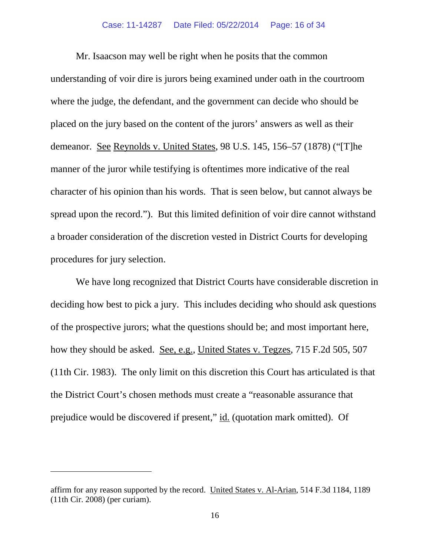Mr. Isaacson may well be right when he posits that the common understanding of voir dire is jurors being examined under oath in the courtroom where the judge, the defendant, and the government can decide who should be placed on the jury based on the content of the jurors' answers as well as their demeanor. See Reynolds v. United States, 98 U.S. 145, 156–57 (1878) ("[T]he manner of the juror while testifying is oftentimes more indicative of the real character of his opinion than his words. That is seen below, but cannot always be spread upon the record."). But this limited definition of voir dire cannot withstand a broader consideration of the discretion vested in District Courts for developing procedures for jury selection.

We have long recognized that District Courts have considerable discretion in deciding how best to pick a jury. This includes deciding who should ask questions of the prospective jurors; what the questions should be; and most important here, how they should be asked. See, e.g., United States v. Tegzes, 715 F.2d 505, 507 (11th Cir. 1983). The only limit on this discretion this Court has articulated is that the District Court's chosen methods must create a "reasonable assurance that prejudice would be discovered if present," id. (quotation mark omitted). Of

 $\overline{a}$ 

affirm for any reason supported by the record. United States v. Al-Arian, 514 F.3d 1184, 1189 (11th Cir. 2008) (per curiam).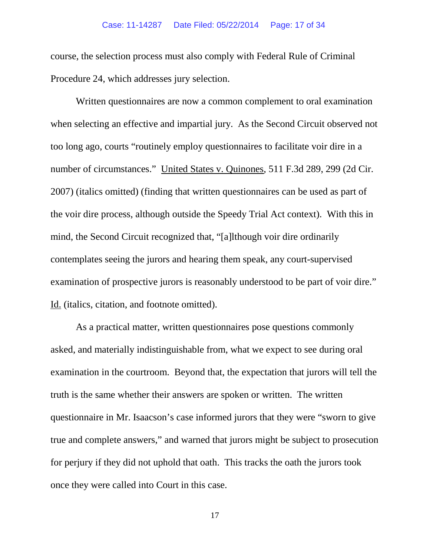course, the selection process must also comply with Federal Rule of Criminal Procedure 24, which addresses jury selection.

Written questionnaires are now a common complement to oral examination when selecting an effective and impartial jury. As the Second Circuit observed not too long ago, courts "routinely employ questionnaires to facilitate voir dire in a number of circumstances." United States v. Quinones, 511 F.3d 289, 299 (2d Cir. 2007) (italics omitted) (finding that written questionnaires can be used as part of the voir dire process, although outside the Speedy Trial Act context). With this in mind, the Second Circuit recognized that, "[a]lthough voir dire ordinarily contemplates seeing the jurors and hearing them speak, any court-supervised examination of prospective jurors is reasonably understood to be part of voir dire." Id. (italics, citation, and footnote omitted).

As a practical matter, written questionnaires pose questions commonly asked, and materially indistinguishable from, what we expect to see during oral examination in the courtroom. Beyond that, the expectation that jurors will tell the truth is the same whether their answers are spoken or written. The written questionnaire in Mr. Isaacson's case informed jurors that they were "sworn to give true and complete answers," and warned that jurors might be subject to prosecution for perjury if they did not uphold that oath. This tracks the oath the jurors took once they were called into Court in this case.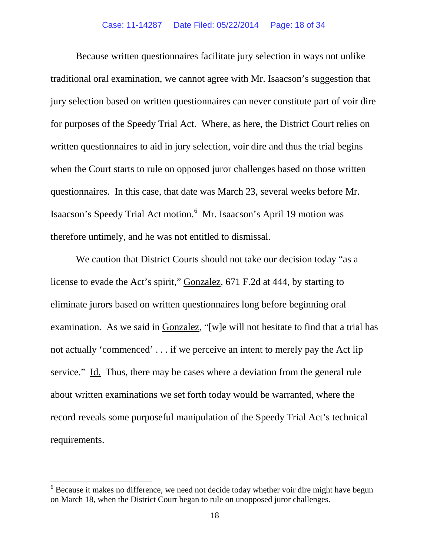Because written questionnaires facilitate jury selection in ways not unlike traditional oral examination, we cannot agree with Mr. Isaacson's suggestion that jury selection based on written questionnaires can never constitute part of voir dire for purposes of the Speedy Trial Act. Where, as here, the District Court relies on written questionnaires to aid in jury selection, voir dire and thus the trial begins when the Court starts to rule on opposed juror challenges based on those written questionnaires. In this case, that date was March 23, several weeks before Mr. Isaacson's Speedy Trial Act motion.<sup>[6](#page-17-0)</sup> Mr. Isaacson's April 19 motion was therefore untimely, and he was not entitled to dismissal.

We caution that District Courts should not take our decision today "as a license to evade the Act's spirit," Gonzalez, 671 F.2d at 444, by starting to eliminate jurors based on written questionnaires long before beginning oral examination. As we said in Gonzalez, "[w]e will not hesitate to find that a trial has not actually 'commenced' . . . if we perceive an intent to merely pay the Act lip service." Id. Thus, there may be cases where a deviation from the general rule about written examinations we set forth today would be warranted, where the record reveals some purposeful manipulation of the Speedy Trial Act's technical requirements.

<span id="page-17-0"></span> $6$  Because it makes no difference, we need not decide today whether voir dire might have begun on March 18, when the District Court began to rule on unopposed juror challenges.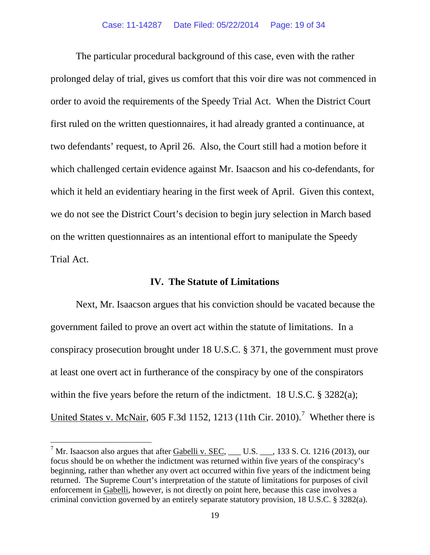The particular procedural background of this case, even with the rather prolonged delay of trial, gives us comfort that this voir dire was not commenced in order to avoid the requirements of the Speedy Trial Act. When the District Court first ruled on the written questionnaires, it had already granted a continuance, at two defendants' request, to April 26. Also, the Court still had a motion before it which challenged certain evidence against Mr. Isaacson and his co-defendants, for which it held an evidentiary hearing in the first week of April. Given this context, we do not see the District Court's decision to begin jury selection in March based on the written questionnaires as an intentional effort to manipulate the Speedy Trial Act.

# **IV. The Statute of Limitations**

Next, Mr. Isaacson argues that his conviction should be vacated because the government failed to prove an overt act within the statute of limitations. In a conspiracy prosecution brought under 18 U.S.C. § 371, the government must prove at least one overt act in furtherance of the conspiracy by one of the conspirators within the five years before the return of the indictment. 18 U.S.C. § 3282(a); United States v. McNair, 605 F.3d 1152, 1213 (11th Cir. 2010).<sup>[7](#page-18-0)</sup> Whether there is

<span id="page-18-0"></span><sup>&</sup>lt;sup>7</sup> Mr. Isaacson also argues that after Gabelli v. SEC, \_\_\_ U.S. \_\_\_, 133 S. Ct. 1216 (2013), our focus should be on whether the indictment was returned within five years of the conspiracy's beginning, rather than whether any overt act occurred within five years of the indictment being returned. The Supreme Court's interpretation of the statute of limitations for purposes of civil enforcement in Gabelli, however, is not directly on point here, because this case involves a criminal conviction governed by an entirely separate statutory provision, 18 U.S.C. § 3282(a).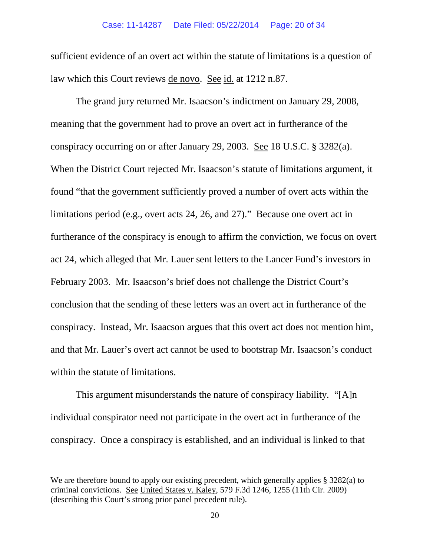sufficient evidence of an overt act within the statute of limitations is a question of law which this Court reviews de novo. See id. at 1212 n.87.

The grand jury returned Mr. Isaacson's indictment on January 29, 2008, meaning that the government had to prove an overt act in furtherance of the conspiracy occurring on or after January 29, 2003. See 18 U.S.C. § 3282(a). When the District Court rejected Mr. Isaacson's statute of limitations argument, it found "that the government sufficiently proved a number of overt acts within the limitations period (e.g., overt acts 24, 26, and 27)." Because one overt act in furtherance of the conspiracy is enough to affirm the conviction, we focus on overt act 24, which alleged that Mr. Lauer sent letters to the Lancer Fund's investors in February 2003. Mr. Isaacson's brief does not challenge the District Court's conclusion that the sending of these letters was an overt act in furtherance of the conspiracy. Instead, Mr. Isaacson argues that this overt act does not mention him, and that Mr. Lauer's overt act cannot be used to bootstrap Mr. Isaacson's conduct within the statute of limitations.

This argument misunderstands the nature of conspiracy liability. "[A]n individual conspirator need not participate in the overt act in furtherance of the conspiracy. Once a conspiracy is established, and an individual is linked to that

 $\overline{a}$ 

We are therefore bound to apply our existing precedent, which generally applies § 3282(a) to criminal convictions. See United States v. Kaley, 579 F.3d 1246, 1255 (11th Cir. 2009) (describing this Court's strong prior panel precedent rule).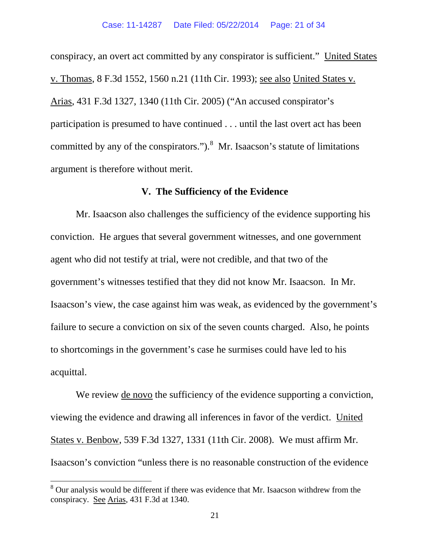conspiracy, an overt act committed by any conspirator is sufficient." United States v. Thomas, 8 F.3d 1552, 1560 n.21 (11th Cir. 1993); see also United States v. Arias, 431 F.3d 1327, 1340 (11th Cir. 2005) ("An accused conspirator's participation is presumed to have continued . . . until the last overt act has been committed by any of the conspirators."). $8$  Mr. Isaacson's statute of limitations argument is therefore without merit.

# **V. The Sufficiency of the Evidence**

Mr. Isaacson also challenges the sufficiency of the evidence supporting his conviction. He argues that several government witnesses, and one government agent who did not testify at trial, were not credible, and that two of the government's witnesses testified that they did not know Mr. Isaacson. In Mr. Isaacson's view, the case against him was weak, as evidenced by the government's failure to secure a conviction on six of the seven counts charged. Also, he points to shortcomings in the government's case he surmises could have led to his acquittal.

We review <u>de novo</u> the sufficiency of the evidence supporting a conviction, viewing the evidence and drawing all inferences in favor of the verdict. United States v. Benbow, 539 F.3d 1327, 1331 (11th Cir. 2008). We must affirm Mr. Isaacson's conviction "unless there is no reasonable construction of the evidence

<span id="page-20-0"></span><sup>&</sup>lt;sup>8</sup> Our analysis would be different if there was evidence that Mr. Isaacson withdrew from the conspiracy. See Arias, 431 F.3d at 1340.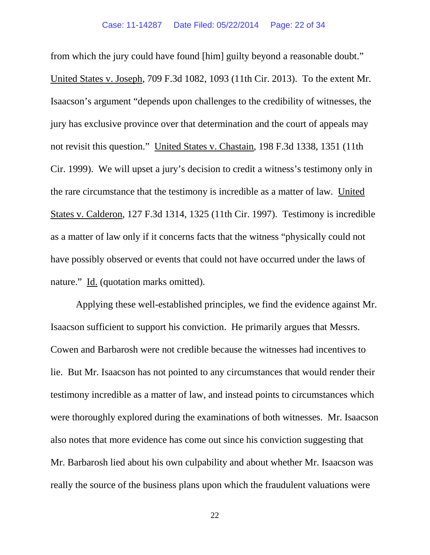from which the jury could have found [him] guilty beyond a reasonable doubt." United States v. Joseph, 709 F.3d 1082, 1093 (11th Cir. 2013). To the extent Mr. Isaacson's argument "depends upon challenges to the credibility of witnesses, the jury has exclusive province over that determination and the court of appeals may not revisit this question." United States v. Chastain, 198 F.3d 1338, 1351 (11th Cir. 1999). We will upset a jury's decision to credit a witness's testimony only in the rare circumstance that the testimony is incredible as a matter of law. United States v. Calderon, 127 F.3d 1314, 1325 (11th Cir. 1997). Testimony is incredible as a matter of law only if it concerns facts that the witness "physically could not have possibly observed or events that could not have occurred under the laws of nature." Id. (quotation marks omitted).

Applying these well-established principles, we find the evidence against Mr. Isaacson sufficient to support his conviction. He primarily argues that Messrs. Cowen and Barbarosh were not credible because the witnesses had incentives to lie. But Mr. Isaacson has not pointed to any circumstances that would render their testimony incredible as a matter of law, and instead points to circumstances which were thoroughly explored during the examinations of both witnesses. Mr. Isaacson also notes that more evidence has come out since his conviction suggesting that Mr. Barbarosh lied about his own culpability and about whether Mr. Isaacson was really the source of the business plans upon which the fraudulent valuations were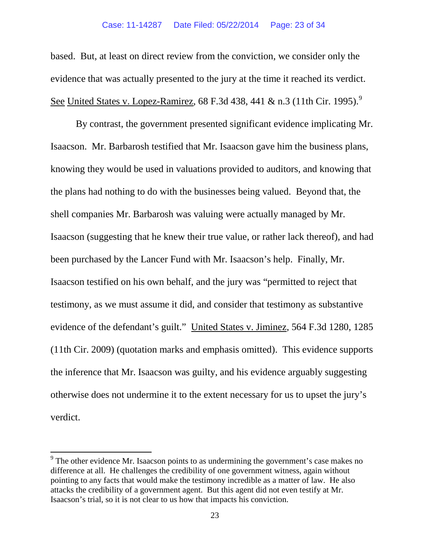based. But, at least on direct review from the conviction, we consider only the evidence that was actually presented to the jury at the time it reached its verdict. See United States v. Lopez-Ramirez, 68 F.3d 438, 441 & n.3 (11th Cir. 1[9](#page-22-0)95).<sup>9</sup>

By contrast, the government presented significant evidence implicating Mr. Isaacson. Mr. Barbarosh testified that Mr. Isaacson gave him the business plans, knowing they would be used in valuations provided to auditors, and knowing that the plans had nothing to do with the businesses being valued. Beyond that, the shell companies Mr. Barbarosh was valuing were actually managed by Mr. Isaacson (suggesting that he knew their true value, or rather lack thereof), and had been purchased by the Lancer Fund with Mr. Isaacson's help. Finally, Mr. Isaacson testified on his own behalf, and the jury was "permitted to reject that testimony, as we must assume it did, and consider that testimony as substantive evidence of the defendant's guilt." United States v. Jiminez, 564 F.3d 1280, 1285 (11th Cir. 2009) (quotation marks and emphasis omitted). This evidence supports the inference that Mr. Isaacson was guilty, and his evidence arguably suggesting otherwise does not undermine it to the extent necessary for us to upset the jury's verdict.

<span id="page-22-0"></span> $9<sup>9</sup>$  The other evidence Mr. Isaacson points to as undermining the government's case makes no difference at all. He challenges the credibility of one government witness, again without pointing to any facts that would make the testimony incredible as a matter of law. He also attacks the credibility of a government agent. But this agent did not even testify at Mr. Isaacson's trial, so it is not clear to us how that impacts his conviction.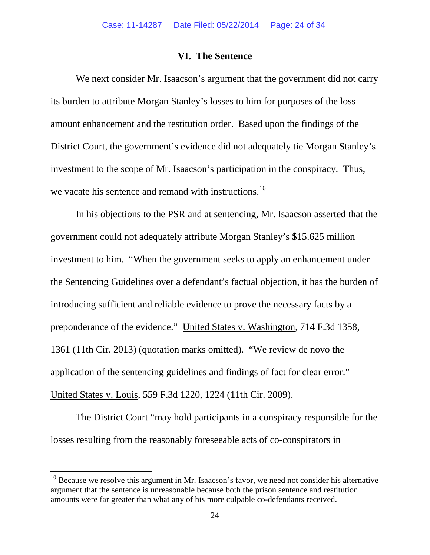### **VI. The Sentence**

We next consider Mr. Isaacson's argument that the government did not carry its burden to attribute Morgan Stanley's losses to him for purposes of the loss amount enhancement and the restitution order. Based upon the findings of the District Court, the government's evidence did not adequately tie Morgan Stanley's investment to the scope of Mr. Isaacson's participation in the conspiracy. Thus, we vacate his sentence and remand with instructions.<sup>10</sup>

In his objections to the PSR and at sentencing, Mr. Isaacson asserted that the government could not adequately attribute Morgan Stanley's \$15.625 million investment to him. "When the government seeks to apply an enhancement under the Sentencing Guidelines over a defendant's factual objection, it has the burden of introducing sufficient and reliable evidence to prove the necessary facts by a preponderance of the evidence." United States v. Washington, 714 F.3d 1358, 1361 (11th Cir. 2013) (quotation marks omitted). "We review de novo the application of the sentencing guidelines and findings of fact for clear error." United States v. Louis, 559 F.3d 1220, 1224 (11th Cir. 2009).

The District Court "may hold participants in a conspiracy responsible for the losses resulting from the reasonably foreseeable acts of co-conspirators in

<span id="page-23-0"></span> $10$  Because we resolve this argument in Mr. Isaacson's favor, we need not consider his alternative argument that the sentence is unreasonable because both the prison sentence and restitution amounts were far greater than what any of his more culpable co-defendants received.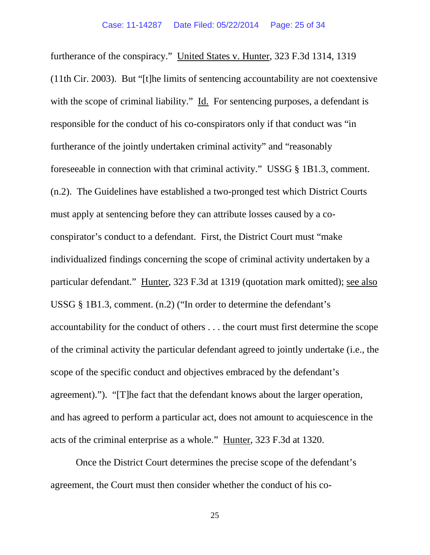furtherance of the conspiracy." United States v. Hunter, 323 F.3d 1314, 1319 (11th Cir. 2003). But "[t]he limits of sentencing accountability are not coextensive with the scope of criminal liability." Id. For sentencing purposes, a defendant is responsible for the conduct of his co-conspirators only if that conduct was "in furtherance of the jointly undertaken criminal activity" and "reasonably foreseeable in connection with that criminal activity." USSG § 1B1.3, comment. (n.2). The Guidelines have established a two-pronged test which District Courts must apply at sentencing before they can attribute losses caused by a coconspirator's conduct to a defendant. First, the District Court must "make individualized findings concerning the scope of criminal activity undertaken by a particular defendant." Hunter, 323 F.3d at 1319 (quotation mark omitted); see also USSG § 1B1.3, comment. (n.2) ("In order to determine the defendant's accountability for the conduct of others . . . the court must first determine the scope of the criminal activity the particular defendant agreed to jointly undertake (i.e., the scope of the specific conduct and objectives embraced by the defendant's agreement)."). "[T]he fact that the defendant knows about the larger operation, and has agreed to perform a particular act, does not amount to acquiescence in the acts of the criminal enterprise as a whole." Hunter, 323 F.3d at 1320.

Once the District Court determines the precise scope of the defendant's agreement, the Court must then consider whether the conduct of his co-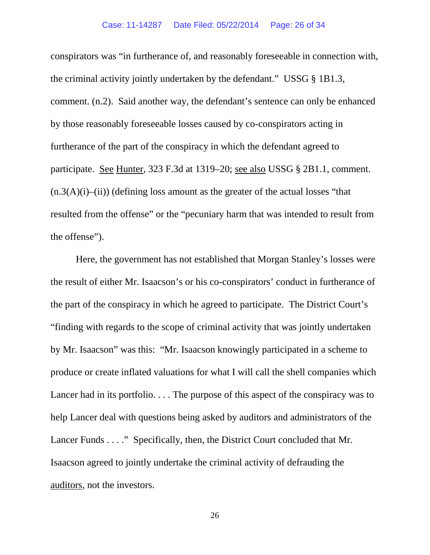conspirators was "in furtherance of, and reasonably foreseeable in connection with, the criminal activity jointly undertaken by the defendant." USSG § 1B1.3, comment. (n.2). Said another way, the defendant's sentence can only be enhanced by those reasonably foreseeable losses caused by co-conspirators acting in furtherance of the part of the conspiracy in which the defendant agreed to participate. <u>See Hunter</u>, 323 F.3d at 1319–20; <u>see also</u> USSG § 2B1.1, comment.  $(n.3(A)(i)$ –(ii)) (defining loss amount as the greater of the actual losses "that resulted from the offense" or the "pecuniary harm that was intended to result from the offense").

Here, the government has not established that Morgan Stanley's losses were the result of either Mr. Isaacson's or his co-conspirators' conduct in furtherance of the part of the conspiracy in which he agreed to participate. The District Court's "finding with regards to the scope of criminal activity that was jointly undertaken by Mr. Isaacson" was this: "Mr. Isaacson knowingly participated in a scheme to produce or create inflated valuations for what I will call the shell companies which Lancer had in its portfolio.... The purpose of this aspect of the conspiracy was to help Lancer deal with questions being asked by auditors and administrators of the Lancer Funds . . . ." Specifically, then, the District Court concluded that Mr. Isaacson agreed to jointly undertake the criminal activity of defrauding the auditors, not the investors.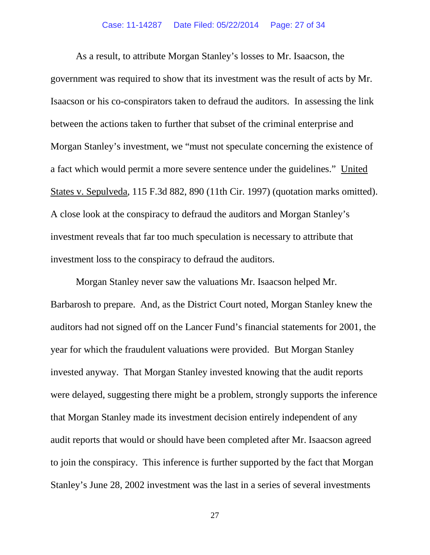As a result, to attribute Morgan Stanley's losses to Mr. Isaacson, the government was required to show that its investment was the result of acts by Mr. Isaacson or his co-conspirators taken to defraud the auditors. In assessing the link between the actions taken to further that subset of the criminal enterprise and Morgan Stanley's investment, we "must not speculate concerning the existence of a fact which would permit a more severe sentence under the guidelines." United States v. Sepulveda, 115 F.3d 882, 890 (11th Cir. 1997) (quotation marks omitted). A close look at the conspiracy to defraud the auditors and Morgan Stanley's investment reveals that far too much speculation is necessary to attribute that investment loss to the conspiracy to defraud the auditors.

Morgan Stanley never saw the valuations Mr. Isaacson helped Mr. Barbarosh to prepare. And, as the District Court noted, Morgan Stanley knew the auditors had not signed off on the Lancer Fund's financial statements for 2001, the year for which the fraudulent valuations were provided. But Morgan Stanley invested anyway. That Morgan Stanley invested knowing that the audit reports were delayed, suggesting there might be a problem, strongly supports the inference that Morgan Stanley made its investment decision entirely independent of any audit reports that would or should have been completed after Mr. Isaacson agreed to join the conspiracy. This inference is further supported by the fact that Morgan Stanley's June 28, 2002 investment was the last in a series of several investments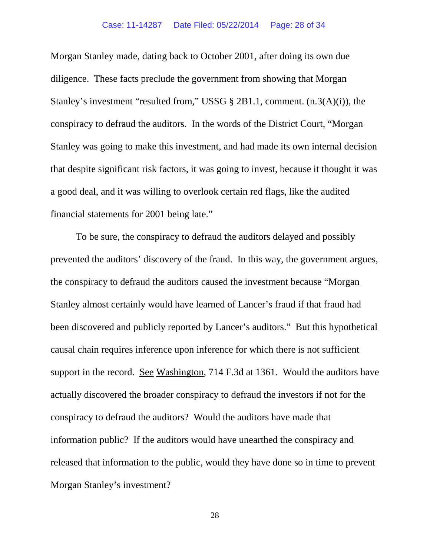Morgan Stanley made, dating back to October 2001, after doing its own due diligence. These facts preclude the government from showing that Morgan Stanley's investment "resulted from," USSG § 2B1.1, comment. (n.3(A)(i)), the conspiracy to defraud the auditors. In the words of the District Court, "Morgan Stanley was going to make this investment, and had made its own internal decision that despite significant risk factors, it was going to invest, because it thought it was a good deal, and it was willing to overlook certain red flags, like the audited financial statements for 2001 being late."

To be sure, the conspiracy to defraud the auditors delayed and possibly prevented the auditors' discovery of the fraud. In this way, the government argues, the conspiracy to defraud the auditors caused the investment because "Morgan Stanley almost certainly would have learned of Lancer's fraud if that fraud had been discovered and publicly reported by Lancer's auditors." But this hypothetical causal chain requires inference upon inference for which there is not sufficient support in the record. See Washington, 714 F.3d at 1361. Would the auditors have actually discovered the broader conspiracy to defraud the investors if not for the conspiracy to defraud the auditors? Would the auditors have made that information public? If the auditors would have unearthed the conspiracy and released that information to the public, would they have done so in time to prevent Morgan Stanley's investment?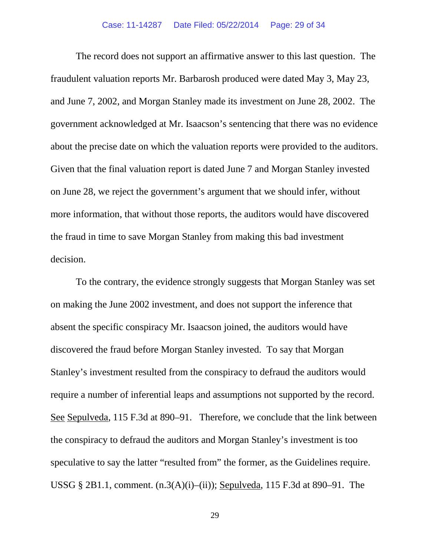The record does not support an affirmative answer to this last question. The fraudulent valuation reports Mr. Barbarosh produced were dated May 3, May 23, and June 7, 2002, and Morgan Stanley made its investment on June 28, 2002. The government acknowledged at Mr. Isaacson's sentencing that there was no evidence about the precise date on which the valuation reports were provided to the auditors. Given that the final valuation report is dated June 7 and Morgan Stanley invested on June 28, we reject the government's argument that we should infer, without more information, that without those reports, the auditors would have discovered the fraud in time to save Morgan Stanley from making this bad investment decision.

To the contrary, the evidence strongly suggests that Morgan Stanley was set on making the June 2002 investment, and does not support the inference that absent the specific conspiracy Mr. Isaacson joined, the auditors would have discovered the fraud before Morgan Stanley invested. To say that Morgan Stanley's investment resulted from the conspiracy to defraud the auditors would require a number of inferential leaps and assumptions not supported by the record. See Sepulveda, 115 F.3d at 890–91. Therefore, we conclude that the link between the conspiracy to defraud the auditors and Morgan Stanley's investment is too speculative to say the latter "resulted from" the former, as the Guidelines require. USSG § 2B1.1, comment.  $(n.3(A)(i)–(ii))$ ; Sepulveda, 115 F.3d at 890–91. The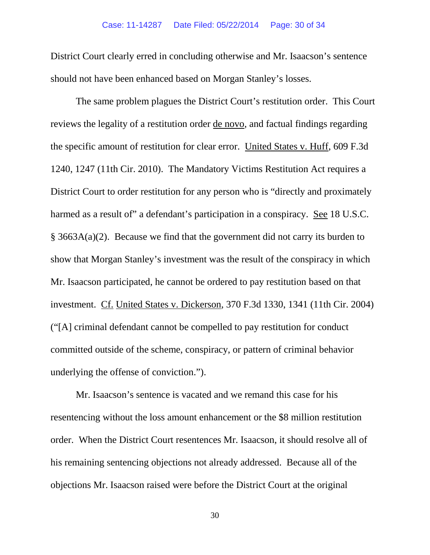District Court clearly erred in concluding otherwise and Mr. Isaacson's sentence should not have been enhanced based on Morgan Stanley's losses.

The same problem plagues the District Court's restitution order. This Court reviews the legality of a restitution order de novo, and factual findings regarding the specific amount of restitution for clear error. United States v. Huff, 609 F.3d 1240, 1247 (11th Cir. 2010). The Mandatory Victims Restitution Act requires a District Court to order restitution for any person who is "directly and proximately harmed as a result of" a defendant's participation in a conspiracy. See 18 U.S.C. § 3663A(a)(2). Because we find that the government did not carry its burden to show that Morgan Stanley's investment was the result of the conspiracy in which Mr. Isaacson participated, he cannot be ordered to pay restitution based on that investment. Cf. United States v. Dickerson, 370 F.3d 1330, 1341 (11th Cir. 2004) ("[A] criminal defendant cannot be compelled to pay restitution for conduct committed outside of the scheme, conspiracy, or pattern of criminal behavior underlying the offense of conviction.").

Mr. Isaacson's sentence is vacated and we remand this case for his resentencing without the loss amount enhancement or the \$8 million restitution order. When the District Court resentences Mr. Isaacson, it should resolve all of his remaining sentencing objections not already addressed. Because all of the objections Mr. Isaacson raised were before the District Court at the original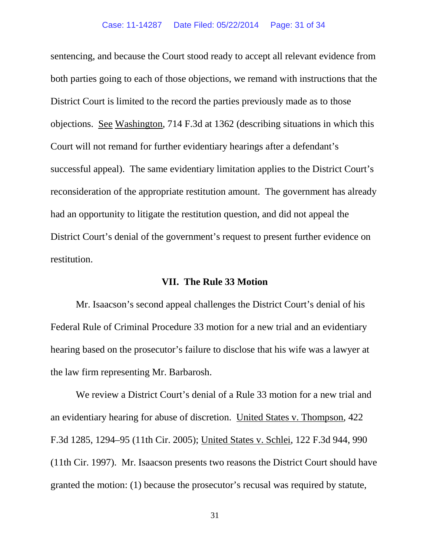sentencing, and because the Court stood ready to accept all relevant evidence from both parties going to each of those objections, we remand with instructions that the District Court is limited to the record the parties previously made as to those objections. See Washington, 714 F.3d at 1362 (describing situations in which this Court will not remand for further evidentiary hearings after a defendant's successful appeal). The same evidentiary limitation applies to the District Court's reconsideration of the appropriate restitution amount. The government has already had an opportunity to litigate the restitution question, and did not appeal the District Court's denial of the government's request to present further evidence on restitution.

# **VII. The Rule 33 Motion**

Mr. Isaacson's second appeal challenges the District Court's denial of his Federal Rule of Criminal Procedure 33 motion for a new trial and an evidentiary hearing based on the prosecutor's failure to disclose that his wife was a lawyer at the law firm representing Mr. Barbarosh.

We review a District Court's denial of a Rule 33 motion for a new trial and an evidentiary hearing for abuse of discretion. United States v. Thompson, 422 F.3d 1285, 1294–95 (11th Cir. 2005); United States v. Schlei, 122 F.3d 944, 990 (11th Cir. 1997). Mr. Isaacson presents two reasons the District Court should have granted the motion: (1) because the prosecutor's recusal was required by statute,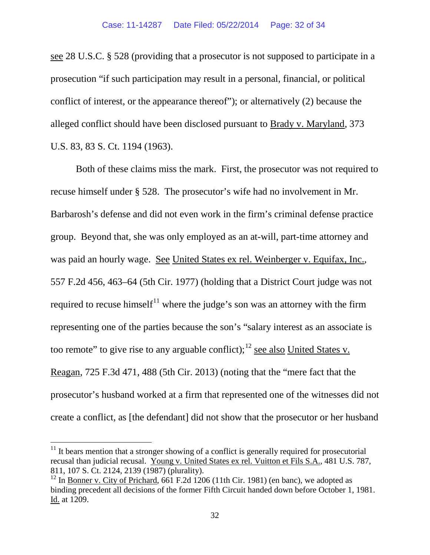see 28 U.S.C. § 528 (providing that a prosecutor is not supposed to participate in a prosecution "if such participation may result in a personal, financial, or political conflict of interest, or the appearance thereof"); or alternatively (2) because the alleged conflict should have been disclosed pursuant to Brady v. Maryland, 373 U.S. 83, 83 S. Ct. 1194 (1963).

Both of these claims miss the mark. First, the prosecutor was not required to recuse himself under § 528. The prosecutor's wife had no involvement in Mr. Barbarosh's defense and did not even work in the firm's criminal defense practice group. Beyond that, she was only employed as an at-will, part-time attorney and was paid an hourly wage. See United States ex rel. Weinberger v. Equifax, Inc., 557 F.2d 456, 463–64 (5th Cir. 1977) (holding that a District Court judge was not required to recuse himself<sup>[11](#page-31-0)</sup> where the judge's son was an attorney with the firm representing one of the parties because the son's "salary interest as an associate is too remote" to give rise to any arguable conflict);<sup>[12](#page-31-1)</sup> see also United States v. Reagan, 725 F.3d 471, 488 (5th Cir. 2013) (noting that the "mere fact that the prosecutor's husband worked at a firm that represented one of the witnesses did not create a conflict, as [the defendant] did not show that the prosecutor or her husband

<span id="page-31-0"></span> $11$  It bears mention that a stronger showing of a conflict is generally required for prosecutorial recusal than judicial recusal. Young v. United States ex rel. Vuitton et Fils S.A., 481 U.S. 787, 811, 107 S. Ct. 2124, 2139 (1987) (plurality).

<span id="page-31-1"></span> $12$  In Bonner v. City of Prichard, 661 F.2d 1206 (11th Cir. 1981) (en banc), we adopted as binding precedent all decisions of the former Fifth Circuit handed down before October 1, 1981. Id. at 1209.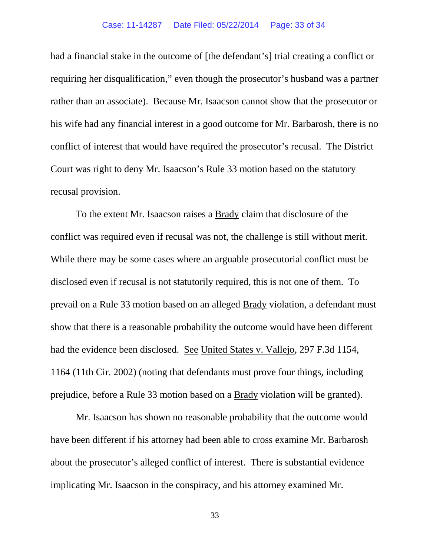had a financial stake in the outcome of [the defendant's] trial creating a conflict or requiring her disqualification," even though the prosecutor's husband was a partner rather than an associate). Because Mr. Isaacson cannot show that the prosecutor or his wife had any financial interest in a good outcome for Mr. Barbarosh, there is no conflict of interest that would have required the prosecutor's recusal. The District Court was right to deny Mr. Isaacson's Rule 33 motion based on the statutory recusal provision.

To the extent Mr. Isaacson raises a Brady claim that disclosure of the conflict was required even if recusal was not, the challenge is still without merit. While there may be some cases where an arguable prosecutorial conflict must be disclosed even if recusal is not statutorily required, this is not one of them. To prevail on a Rule 33 motion based on an alleged Brady violation, a defendant must show that there is a reasonable probability the outcome would have been different had the evidence been disclosed. See United States v. Vallejo, 297 F.3d 1154, 1164 (11th Cir. 2002) (noting that defendants must prove four things, including prejudice, before a Rule 33 motion based on a Brady violation will be granted).

Mr. Isaacson has shown no reasonable probability that the outcome would have been different if his attorney had been able to cross examine Mr. Barbarosh about the prosecutor's alleged conflict of interest. There is substantial evidence implicating Mr. Isaacson in the conspiracy, and his attorney examined Mr.